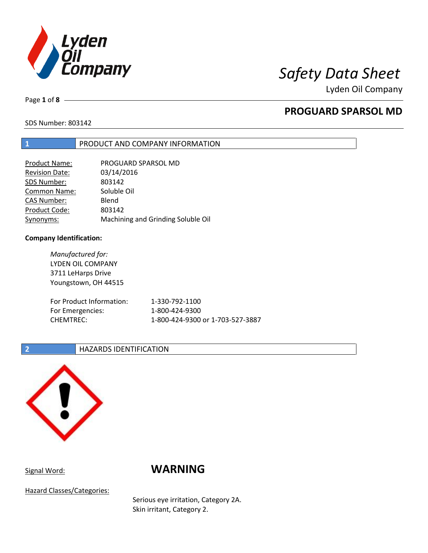

Lyden Oil Company

Page **1** of **8**

# **PROGUARD SPARSOL MD**

SDS Number: 803142

## **1** PRODUCT AND COMPANY INFORMATION

| <b>Product Name:</b>  | PROGUARD SPARSOL MD                |
|-----------------------|------------------------------------|
| <b>Revision Date:</b> | 03/14/2016                         |
| SDS Number:           | 803142                             |
| <b>Common Name:</b>   | Soluble Oil                        |
| <b>CAS Number:</b>    | Blend                              |
| Product Code:         | 803142                             |
| Synonyms:             | Machining and Grinding Soluble Oil |

## **Company Identification:**

*Manufactured for:* LYDEN OIL COMPANY 3711 LeHarps Drive Youngstown, OH 44515 For Product Information: 1-330-792-1100 For Emergencies: 1-800-424-9300 CHEMTREC: 1-800-424-9300 or 1-703-527-3887

## **2 HAZARDS IDENTIFICATION**



## Signal Word: **WARNING**

Hazard Classes/Categories:

Serious eye irritation, Category 2A. Skin irritant, Category 2.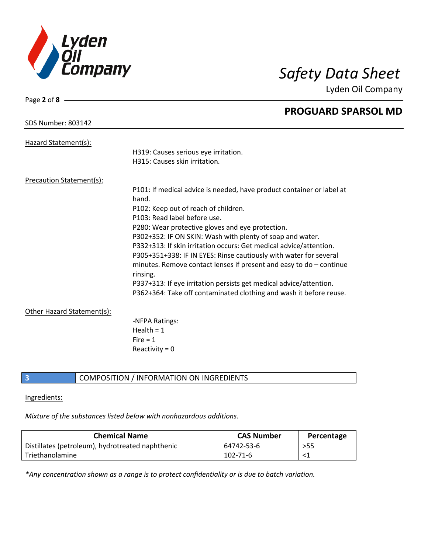

Page **2** of **8**

Lyden Oil Company

|                                 | <b>PROGUARD SPARSOL MD</b>                                                        |
|---------------------------------|-----------------------------------------------------------------------------------|
| <b>SDS Number: 803142</b>       |                                                                                   |
| Hazard Statement(s):            |                                                                                   |
|                                 | H319: Causes serious eye irritation.                                              |
|                                 | H315: Causes skin irritation.                                                     |
| <b>Precaution Statement(s):</b> |                                                                                   |
|                                 | P101: If medical advice is needed, have product container or label at<br>hand.    |
|                                 | P102: Keep out of reach of children.                                              |
|                                 | P103: Read label before use.                                                      |
|                                 | P280: Wear protective gloves and eye protection.                                  |
|                                 | P302+352: IF ON SKIN: Wash with plenty of soap and water.                         |
|                                 | P332+313: If skin irritation occurs: Get medical advice/attention.                |
|                                 | P305+351+338: IF IN EYES: Rinse cautiously with water for several                 |
|                                 | minutes. Remove contact lenses if present and easy to $do$ – continue<br>rinsing. |
|                                 | P337+313: If eye irritation persists get medical advice/attention.                |
|                                 | P362+364: Take off contaminated clothing and wash it before reuse.                |
| Other Hazard Statement(s):      |                                                                                   |
|                                 | -NFPA Ratings:                                                                    |
|                                 | Health = $1$                                                                      |
|                                 | Fire $= 1$                                                                        |
|                                 | Reactivity = $0$                                                                  |
|                                 |                                                                                   |

**3** COMPOSITION / INFORMATION ON INGREDIENTS

## Ingredients:

*Mixture of the substances listed below with nonhazardous additions.*

| <b>Chemical Name</b>                             | <b>CAS Number</b> | Percentage |
|--------------------------------------------------|-------------------|------------|
| Distillates (petroleum), hydrotreated naphthenic | 64742-53-6        | >55        |
| l Triethanolamine                                | 102-71-6          |            |

*\*Any concentration shown as a range is to protect confidentiality or is due to batch variation.*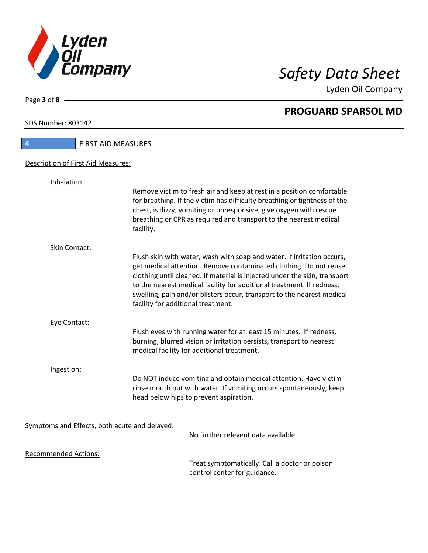

Lyden Oil Company

SDS Number: 803142

Page **3** of **8**

# **4** FIRST AID MEASURES Description of First Aid Measures: Inhalation: Remove victim to fresh air and keep at rest in a position comfortable for breathing. If the victim has difficulty breathing or tightness of the chest, is dizzy, vomiting or unresponsive, give oxygen with rescue breathing or CPR as required and transport to the nearest medical facility. Skin Contact: Flush skin with water, wash with soap and water. If irritation occurs, get medical attention. Remove contaminated clothing. Do not reuse clothing until cleaned. If material is injected under the skin, transport to the nearest medical facility for additional treatment. If redness, swelling, pain and/or blisters occur, transport to the nearest medical facility for additional treatment. Eye Contact: Flush eyes with running water for at least 15 minutes. If redness, burning, blurred vision or irritation persists, transport to nearest medical facility for additional treatment. Ingestion: Do NOT induce vomiting and obtain medical attention. Have victim rinse mouth out with water. If vomiting occurs spontaneously, keep head below hips to prevent aspiration. Symptoms and Effects, both acute and delayed: No further relevent data available. Recommended Actions:

Treat symptomatically. Call a doctor or poison control center for guidance.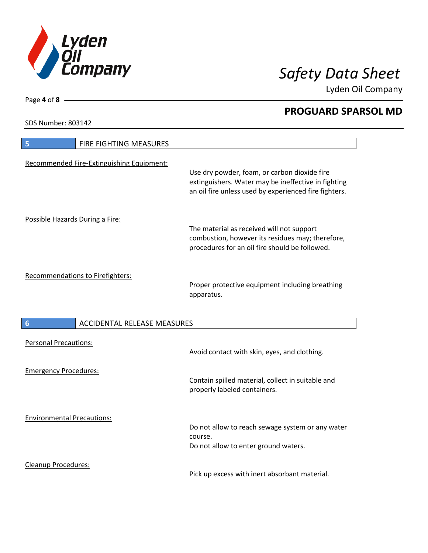

Lyden Oil Company

SDS Number: 803142

Page **4** of **8**

| FIRE FIGHTING MEASURES<br>5                           |                                                                                                                                                              |  |
|-------------------------------------------------------|--------------------------------------------------------------------------------------------------------------------------------------------------------------|--|
| Recommended Fire-Extinguishing Equipment:             | Use dry powder, foam, or carbon dioxide fire<br>extinguishers. Water may be ineffective in fighting<br>an oil fire unless used by experienced fire fighters. |  |
| Possible Hazards During a Fire:                       | The material as received will not support<br>combustion, however its residues may; therefore,<br>procedures for an oil fire should be followed.              |  |
| Recommendations to Firefighters:                      | Proper protective equipment including breathing<br>apparatus.                                                                                                |  |
| <b>ACCIDENTAL RELEASE MEASURES</b><br>$6\phantom{1}6$ |                                                                                                                                                              |  |
| <b>Personal Precautions:</b>                          | Avoid contact with skin, eyes, and clothing.                                                                                                                 |  |
| <b>Emergency Procedures:</b>                          | Contain spilled material, collect in suitable and<br>properly labeled containers.                                                                            |  |
| <b>Environmental Precautions:</b>                     | Do not allow to reach sewage system or any water<br>course.<br>Do not allow to enter ground waters.                                                          |  |
| <b>Cleanup Procedures:</b>                            |                                                                                                                                                              |  |

Pick up excess with inert absorbant material.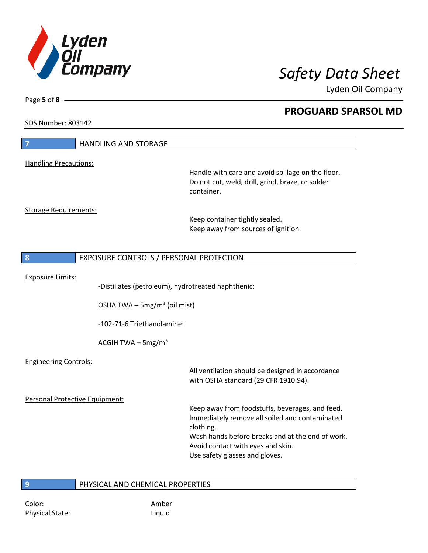

Lyden Oil Company

SDS Number: 803142

Page **5** of **8**

| 7                              | <b>HANDLING AND STORAGE</b>                        |                                                                                                                     |
|--------------------------------|----------------------------------------------------|---------------------------------------------------------------------------------------------------------------------|
| <b>Handling Precautions:</b>   |                                                    |                                                                                                                     |
|                                |                                                    | Handle with care and avoid spillage on the floor.<br>Do not cut, weld, drill, grind, braze, or solder<br>container. |
| <b>Storage Requirements:</b>   |                                                    |                                                                                                                     |
|                                |                                                    | Keep container tightly sealed.<br>Keep away from sources of ignition.                                               |
|                                |                                                    |                                                                                                                     |
| 8                              | EXPOSURE CONTROLS / PERSONAL PROTECTION            |                                                                                                                     |
| <b>Exposure Limits:</b>        |                                                    |                                                                                                                     |
|                                | -Distillates (petroleum), hydrotreated naphthenic: |                                                                                                                     |
|                                | OSHA TWA - 5mg/m <sup>3</sup> (oil mist)           |                                                                                                                     |
|                                | -102-71-6 Triethanolamine:                         |                                                                                                                     |
|                                | ACGIH TWA $-$ 5mg/m <sup>3</sup>                   |                                                                                                                     |
| <b>Engineering Controls:</b>   |                                                    |                                                                                                                     |
|                                |                                                    | All ventilation should be designed in accordance<br>with OSHA standard (29 CFR 1910.94).                            |
| Personal Protective Equipment: |                                                    |                                                                                                                     |
|                                |                                                    | Keep away from foodstuffs, beverages, and feed.<br>Immediately remove all soiled and contaminated<br>clothing.      |
|                                |                                                    | Wash hands before breaks and at the end of work.                                                                    |
|                                |                                                    | Avoid contact with eyes and skin.<br>Use safety glasses and gloves.                                                 |
|                                |                                                    |                                                                                                                     |
| $\overline{9}$                 | PHYSICAL AND CHEMICAL PROPERTIES                   |                                                                                                                     |

Color: Amber Physical State: Liquid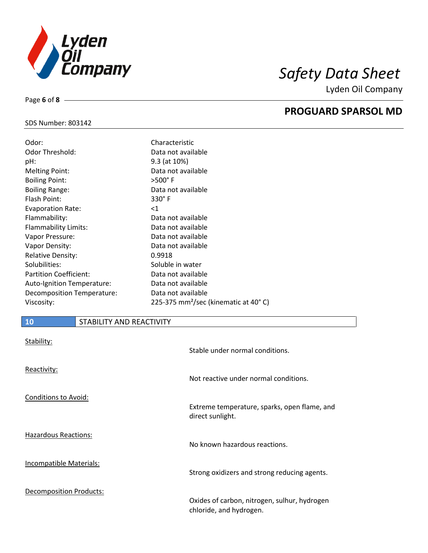

Lyden Oil Company

## SDS Number: 803142

Page **6** of **8**

| Characteristic                                   |
|--------------------------------------------------|
| Data not available                               |
| 9.3 (at 10%)                                     |
| Data not available                               |
| $>500^\circ$ F                                   |
| Data not available                               |
| $330^\circ$ F                                    |
| $<$ 1                                            |
| Data not available                               |
| Data not available                               |
| Data not available                               |
| Data not available                               |
| 0.9918                                           |
| Soluble in water                                 |
| Data not available                               |
| Data not available                               |
| Data not available                               |
| 225-375 mm <sup>2</sup> /sec (kinematic at 40°C) |
|                                                  |

## **10** STABILITY AND REACTIVITY

| Stability:                     | Stable under normal conditions.                                         |
|--------------------------------|-------------------------------------------------------------------------|
| Reactivity:                    | Not reactive under normal conditions.                                   |
| <b>Conditions to Avoid:</b>    | Extreme temperature, sparks, open flame, and<br>direct sunlight.        |
| <b>Hazardous Reactions:</b>    | No known hazardous reactions.                                           |
| <b>Incompatible Materials:</b> | Strong oxidizers and strong reducing agents.                            |
| <b>Decomposition Products:</b> | Oxides of carbon, nitrogen, sulhur, hydrogen<br>chloride, and hydrogen. |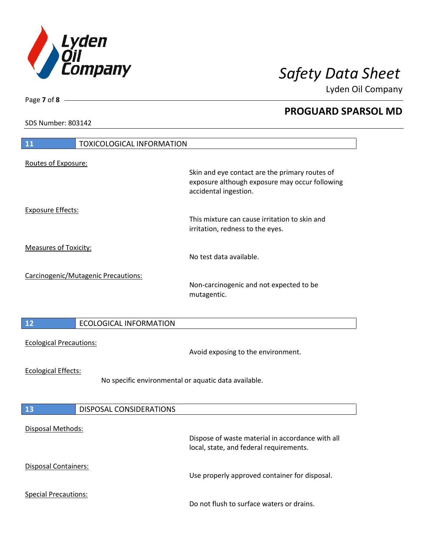

Lyden Oil Company

SDS Number: 803142

Page **7** of **8**

| <b>11</b><br><b>TOXICOLOGICAL INFORMATION</b>                                      |                                                                                                                           |
|------------------------------------------------------------------------------------|---------------------------------------------------------------------------------------------------------------------------|
| Routes of Exposure:                                                                | Skin and eye contact are the primary routes of<br>exposure although exposure may occur following<br>accidental ingestion. |
| <b>Exposure Effects:</b>                                                           | This mixture can cause irritation to skin and<br>irritation, redness to the eyes.                                         |
| <b>Measures of Toxicity:</b>                                                       | No test data available.                                                                                                   |
| Carcinogenic/Mutagenic Precautions:                                                | Non-carcinogenic and not expected to be<br>mutagentic.                                                                    |
| 12<br><b>ECOLOGICAL INFORMATION</b>                                                |                                                                                                                           |
| <b>Ecological Precautions:</b>                                                     | Avoid exposing to the environment.                                                                                        |
| <b>Ecological Effects:</b><br>No specific environmental or aquatic data available. |                                                                                                                           |
| 13<br><b>DISPOSAL CONSIDERATIONS</b>                                               |                                                                                                                           |
| <b>Disposal Methods:</b>                                                           | Dispose of waste material in accordance with all<br>local, state, and federal requirements.                               |
| <b>Disposal Containers:</b>                                                        | Use properly approved container for disposal.                                                                             |
| <b>Special Precautions:</b>                                                        | Do not flush to surface waters or drains.                                                                                 |